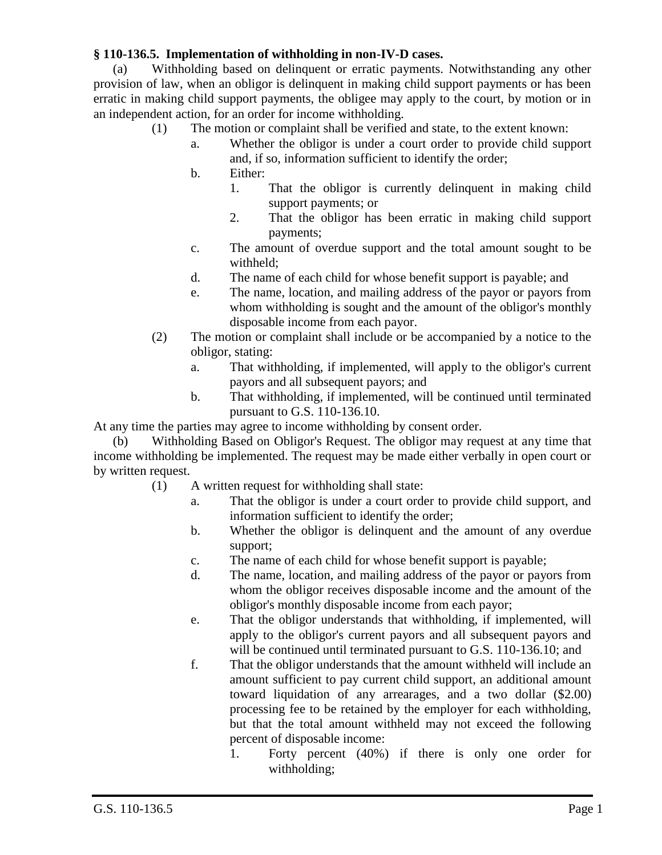## **§ 110-136.5. Implementation of withholding in non-IV-D cases.**

(a) Withholding based on delinquent or erratic payments. Notwithstanding any other provision of law, when an obligor is delinquent in making child support payments or has been erratic in making child support payments, the obligee may apply to the court, by motion or in an independent action, for an order for income withholding.

- (1) The motion or complaint shall be verified and state, to the extent known:
	- a. Whether the obligor is under a court order to provide child support and, if so, information sufficient to identify the order;
	- b. Either:
		- 1. That the obligor is currently delinquent in making child support payments; or
		- 2. That the obligor has been erratic in making child support payments;
	- c. The amount of overdue support and the total amount sought to be withheld;
	- d. The name of each child for whose benefit support is payable; and
	- e. The name, location, and mailing address of the payor or payors from whom withholding is sought and the amount of the obligor's monthly disposable income from each payor.
- (2) The motion or complaint shall include or be accompanied by a notice to the obligor, stating:
	- a. That withholding, if implemented, will apply to the obligor's current payors and all subsequent payors; and
	- b. That withholding, if implemented, will be continued until terminated pursuant to G.S. 110-136.10.

At any time the parties may agree to income withholding by consent order.

(b) Withholding Based on Obligor's Request. The obligor may request at any time that income withholding be implemented. The request may be made either verbally in open court or by written request.

- (1) A written request for withholding shall state:
	- a. That the obligor is under a court order to provide child support, and information sufficient to identify the order;
	- b. Whether the obligor is delinquent and the amount of any overdue support;
	- c. The name of each child for whose benefit support is payable;
	- d. The name, location, and mailing address of the payor or payors from whom the obligor receives disposable income and the amount of the obligor's monthly disposable income from each payor;
	- e. That the obligor understands that withholding, if implemented, will apply to the obligor's current payors and all subsequent payors and will be continued until terminated pursuant to G.S. 110-136.10; and
	- f. That the obligor understands that the amount withheld will include an amount sufficient to pay current child support, an additional amount toward liquidation of any arrearages, and a two dollar (\$2.00) processing fee to be retained by the employer for each withholding, but that the total amount withheld may not exceed the following percent of disposable income:
		- 1. Forty percent (40%) if there is only one order for withholding;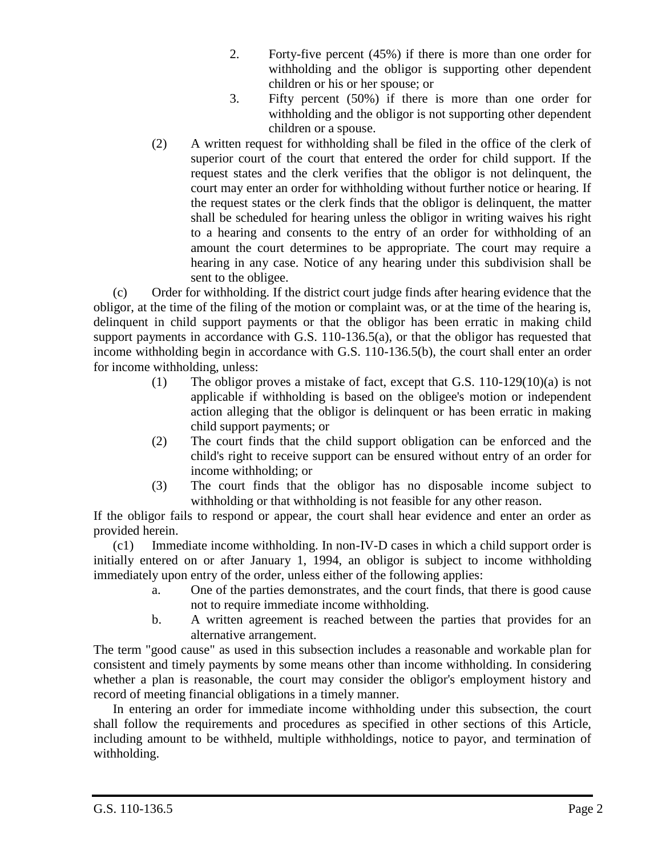- 2. Forty-five percent (45%) if there is more than one order for withholding and the obligor is supporting other dependent children or his or her spouse; or
- 3. Fifty percent (50%) if there is more than one order for withholding and the obligor is not supporting other dependent children or a spouse.
- (2) A written request for withholding shall be filed in the office of the clerk of superior court of the court that entered the order for child support. If the request states and the clerk verifies that the obligor is not delinquent, the court may enter an order for withholding without further notice or hearing. If the request states or the clerk finds that the obligor is delinquent, the matter shall be scheduled for hearing unless the obligor in writing waives his right to a hearing and consents to the entry of an order for withholding of an amount the court determines to be appropriate. The court may require a hearing in any case. Notice of any hearing under this subdivision shall be sent to the obligee.

(c) Order for withholding. If the district court judge finds after hearing evidence that the obligor, at the time of the filing of the motion or complaint was, or at the time of the hearing is, delinquent in child support payments or that the obligor has been erratic in making child support payments in accordance with G.S. 110-136.5(a), or that the obligor has requested that income withholding begin in accordance with G.S. 110-136.5(b), the court shall enter an order for income withholding, unless:

- (1) The obligor proves a mistake of fact, except that G.S. 110-129(10)(a) is not applicable if withholding is based on the obligee's motion or independent action alleging that the obligor is delinquent or has been erratic in making child support payments; or
- (2) The court finds that the child support obligation can be enforced and the child's right to receive support can be ensured without entry of an order for income withholding; or
- (3) The court finds that the obligor has no disposable income subject to withholding or that withholding is not feasible for any other reason.

If the obligor fails to respond or appear, the court shall hear evidence and enter an order as provided herein.

(c1) Immediate income withholding. In non-IV-D cases in which a child support order is initially entered on or after January 1, 1994, an obligor is subject to income withholding immediately upon entry of the order, unless either of the following applies:

- a. One of the parties demonstrates, and the court finds, that there is good cause not to require immediate income withholding.
- b. A written agreement is reached between the parties that provides for an alternative arrangement.

The term "good cause" as used in this subsection includes a reasonable and workable plan for consistent and timely payments by some means other than income withholding. In considering whether a plan is reasonable, the court may consider the obligor's employment history and record of meeting financial obligations in a timely manner.

In entering an order for immediate income withholding under this subsection, the court shall follow the requirements and procedures as specified in other sections of this Article, including amount to be withheld, multiple withholdings, notice to payor, and termination of withholding.